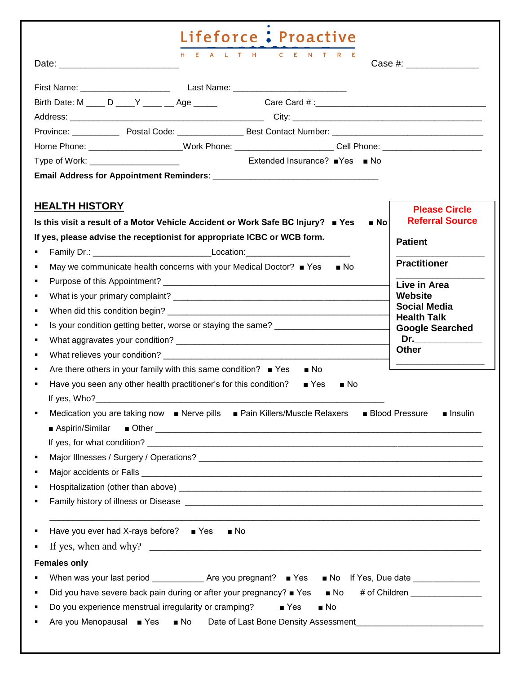## Lifeforce: Proactive

|                                                                                                |                                                                                                            |                   | HEALTH CENTRE                                                                   |                   |                   | Case #: _______________                                                                                   |  |
|------------------------------------------------------------------------------------------------|------------------------------------------------------------------------------------------------------------|-------------------|---------------------------------------------------------------------------------|-------------------|-------------------|-----------------------------------------------------------------------------------------------------------|--|
|                                                                                                |                                                                                                            |                   |                                                                                 |                   |                   |                                                                                                           |  |
| Birth Date: $M \_ D \_ Y \_ X \_ A$ ge                                                         |                                                                                                            |                   |                                                                                 |                   |                   |                                                                                                           |  |
|                                                                                                |                                                                                                            |                   |                                                                                 |                   |                   |                                                                                                           |  |
|                                                                                                |                                                                                                            |                   |                                                                                 |                   |                   |                                                                                                           |  |
|                                                                                                |                                                                                                            |                   |                                                                                 |                   |                   | Home Phone: _____________________Work Phone: ______________________Cell Phone: __________________________ |  |
| Type of Work: _______________________                                                          |                                                                                                            |                   | Extended Insurance? ■ Yes ■ No                                                  |                   |                   |                                                                                                           |  |
|                                                                                                |                                                                                                            |                   |                                                                                 |                   |                   |                                                                                                           |  |
| <b>HEALTH HISTORY</b>                                                                          |                                                                                                            |                   |                                                                                 |                   |                   |                                                                                                           |  |
| Is this visit a result of a Motor Vehicle Accident or Work Safe BC Injury? ■ Yes               |                                                                                                            |                   |                                                                                 |                   | $\blacksquare$ No | <b>Please Circle</b><br><b>Referral Source</b>                                                            |  |
| If yes, please advise the receptionist for appropriate ICBC or WCB form.                       |                                                                                                            |                   |                                                                                 |                   |                   | <b>Patient</b>                                                                                            |  |
|                                                                                                |                                                                                                            |                   | Family Dr.: Location: Location:                                                 |                   |                   |                                                                                                           |  |
| ٠                                                                                              |                                                                                                            |                   | May we communicate health concerns with your Medical Doctor? $\blacksquare$ Yes | N <sub>0</sub>    |                   | <b>Practitioner</b>                                                                                       |  |
| ٠                                                                                              | Live in Area                                                                                               |                   |                                                                                 |                   |                   |                                                                                                           |  |
| ٠                                                                                              | Website                                                                                                    |                   |                                                                                 |                   |                   |                                                                                                           |  |
| ٠                                                                                              | <b>Social Media</b><br><b>Health Talk</b>                                                                  |                   |                                                                                 |                   |                   |                                                                                                           |  |
| ٠                                                                                              | Is your condition getting better, worse or staying the same? ___________________<br><b>Google Searched</b> |                   |                                                                                 |                   |                   |                                                                                                           |  |
| ٠                                                                                              |                                                                                                            |                   |                                                                                 |                   |                   |                                                                                                           |  |
| ٠                                                                                              |                                                                                                            |                   |                                                                                 |                   |                   | <b>Other</b>                                                                                              |  |
| Are there others in your family with this same condition? $\blacksquare$ Yes<br>$\blacksquare$ |                                                                                                            |                   | $\blacksquare$ No                                                               |                   |                   |                                                                                                           |  |
| Have you seen any other health practitioner's for this condition?                              |                                                                                                            |                   | Yes                                                                             | $\blacksquare$ No |                   |                                                                                                           |  |
|                                                                                                |                                                                                                            |                   |                                                                                 |                   |                   |                                                                                                           |  |
|                                                                                                |                                                                                                            |                   | Medication you are taking now ■ Nerve pills ■ Pain Killers/Muscle Relaxers      |                   |                   | ■ Blood Pressure<br>$\blacksquare$ Insulin                                                                |  |
| ■ Aspirin/Similar                                                                              | $\blacksquare$ Other                                                                                       |                   |                                                                                 |                   |                   |                                                                                                           |  |
|                                                                                                |                                                                                                            |                   |                                                                                 |                   |                   |                                                                                                           |  |
| ٠                                                                                              |                                                                                                            |                   |                                                                                 |                   |                   |                                                                                                           |  |
| ٠                                                                                              |                                                                                                            |                   |                                                                                 |                   |                   |                                                                                                           |  |
| ٠                                                                                              |                                                                                                            |                   |                                                                                 |                   |                   |                                                                                                           |  |
|                                                                                                |                                                                                                            |                   |                                                                                 |                   |                   |                                                                                                           |  |
| Have you ever had X-rays before? $\blacksquare$ Yes<br>٠                                       |                                                                                                            | $\blacksquare$ No |                                                                                 |                   |                   |                                                                                                           |  |
| ٠                                                                                              |                                                                                                            |                   |                                                                                 |                   |                   |                                                                                                           |  |
| <b>Females only</b>                                                                            |                                                                                                            |                   |                                                                                 |                   |                   |                                                                                                           |  |
|                                                                                                |                                                                                                            |                   |                                                                                 |                   |                   |                                                                                                           |  |
| ٠                                                                                              |                                                                                                            |                   | Did you have severe back pain during or after your pregnancy? ■ Yes             | $\blacksquare$ No |                   | # of Children _________________                                                                           |  |
| Do you experience menstrual irregularity or cramping?                                          |                                                                                                            |                   | $\blacksquare$ Yes                                                              | $\blacksquare$ No |                   |                                                                                                           |  |
|                                                                                                |                                                                                                            |                   |                                                                                 |                   |                   |                                                                                                           |  |
|                                                                                                |                                                                                                            |                   |                                                                                 |                   |                   | Are you Menopausal ■ Yes ■ No Date of Last Bone Density Assessment_________________________________       |  |